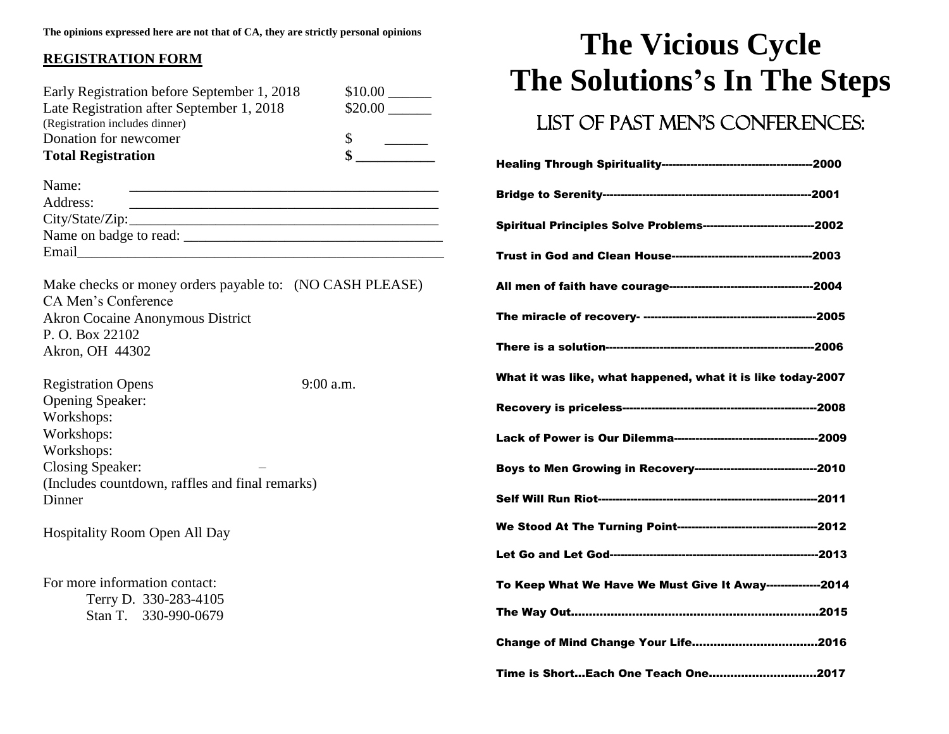#### **REGISTRATION FORM**

| Early Registration before September 1, 2018<br>Late Registration after September 1, 2018<br>(Registration includes dinner)<br>Donation for newcomer<br><b>Total Registration</b> | $$10.00$ $\_\_$<br>$$20.00$ $\_\_$<br>\$<br><u> 1999 - Jan Jawa</u> |
|----------------------------------------------------------------------------------------------------------------------------------------------------------------------------------|---------------------------------------------------------------------|
| Name:<br>Address:                                                                                                                                                                |                                                                     |
| Make checks or money orders payable to: (NO CASH PLEASE)<br>CA Men's Conference<br><b>Akron Cocaine Anonymous District</b><br>P. O. Box 22102<br>Akron, OH 44302                 |                                                                     |
| <b>Registration Opens</b><br>Opening Speaker:<br>Workshops:<br>Workshops:<br>Workshops:<br>Closing Speaker:<br>(Includes countdown, raffles and final remarks)<br>Dinner         | $9:00$ a.m.                                                         |
| <b>Hospitality Room Open All Day</b>                                                                                                                                             |                                                                     |
| For more information contact:<br>Terry D. 330-283-4105<br>Stan T. 330-990-0679                                                                                                   |                                                                     |

### **The Vicious Cycle The Solutions's In The Steps**

#### LIST OF PAST MEN'S CONFERENCES:

| Spiritual Principles Solve Problems-------------------------------2002 |  |
|------------------------------------------------------------------------|--|
|                                                                        |  |
|                                                                        |  |
|                                                                        |  |
|                                                                        |  |
| What it was like, what happened, what it is like today-2007            |  |
|                                                                        |  |
|                                                                        |  |
| Boys to Men Growing in Recovery-----------------------------------2010 |  |
|                                                                        |  |
|                                                                        |  |
|                                                                        |  |
| To Keep What We Have We Must Give It Away---------------2014           |  |
|                                                                        |  |
|                                                                        |  |
| Time is ShortEach One Teach One2017                                    |  |